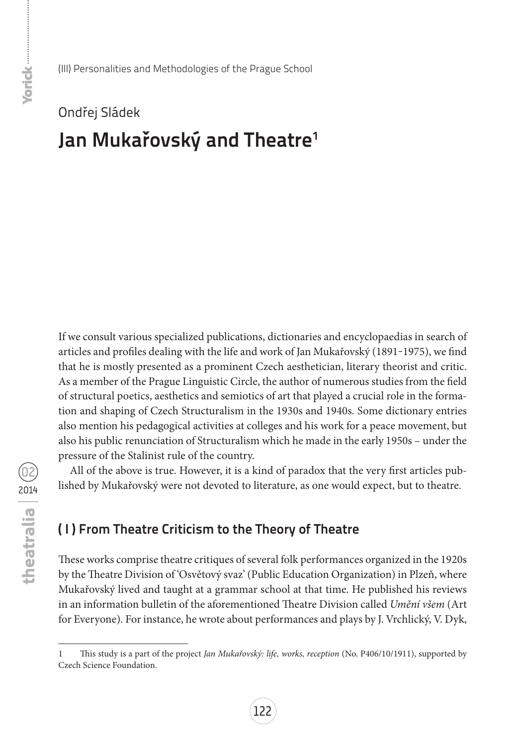# Ondřej Sládek **Jan Mukařovský and Theatre1**

If we consult various specialized publications, dictionaries and encyclopaedias in search of articles and profiles dealing with the life and work of Jan Mukařovský (1891-1975), we find that he is mostly presented as a prominent Czech aesthetician, literary theorist and critic. As a member of the Prague Linguistic Circle, the author of numerous studies from the field of structural poetics, aesthetics and semiotics of art that played a crucial role in the formation and shaping of Czech Structuralism in the 1930s and 1940s. Some dictionary entries also mention his pedagogical activities at colleges and his work for a peace movement, but also his public renunciation of Structuralism which he made in the early 1950s – under the pressure of the Stalinist rule of the country.

All of the above is true. However, it is a kind of paradox that the very first articles published by Mukařovský were not devoted to literature, as one would expect, but to theatre.

# **( I ) From Theatre Criticism to the Theory of Theatre**

These works comprise theatre critiques of several folk performances organized in the 1920s by the Theatre Division of 'Osvětový svaz' (Public Education Organization) in Plzeň, where Mukařovský lived and taught at a grammar school at that time. He published his reviews in an information bulletin of the aforementioned Theatre Division called *Umění všem* (Art for Everyone). For instance, he wrote about performances and plays by J. Vrchlický, V. Dyk,

<sup>1</sup> This study is a part of the project *Jan Mukařovský: life, works, reception* (No. P406/10/1911), supported by Czech Science Foundation.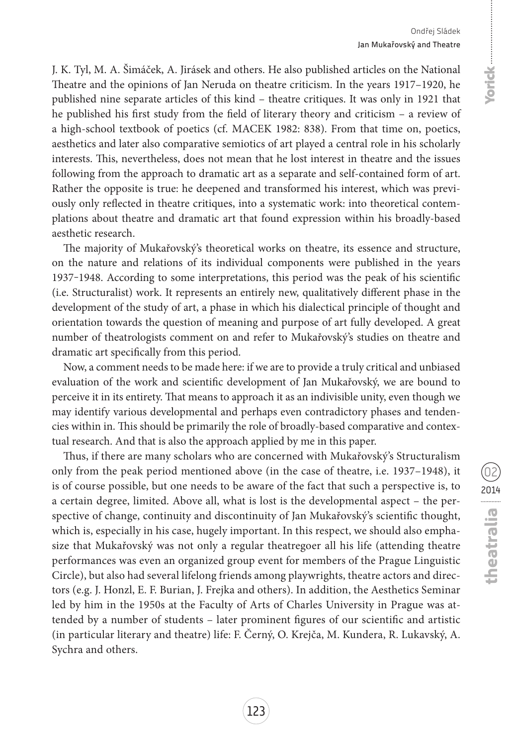J. K. Tyl, M. A. Šimáček, A. Jirásek and others. He also published articles on the National Theatre and the opinions of Jan Neruda on theatre criticism. In the years 1917–1920, he published nine separate articles of this kind – theatre critiques. It was only in 1921 that he published his first study from the field of literary theory and criticism – a review of a high-school textbook of poetics (cf. MACEK 1982: 838). From that time on, poetics, aesthetics and later also comparative semiotics of art played a central role in his scholarly interests. This, nevertheless, does not mean that he lost interest in theatre and the issues following from the approach to dramatic art as a separate and self-contained form of art. Rather the opposite is true: he deepened and transformed his interest, which was previously only reflected in theatre critiques, into a systematic work: into theoretical contemplations about theatre and dramatic art that found expression within his broadly-based aesthetic research.

The majority of Mukařovský's theoretical works on theatre, its essence and structure, on the nature and relations of its individual components were published in the years 1937‒1948. According to some interpretations, this period was the peak of his scientific (i.e. Structuralist) work. It represents an entirely new, qualitatively different phase in the development of the study of art, a phase in which his dialectical principle of thought and orientation towards the question of meaning and purpose of art fully developed. A great number of theatrologists comment on and refer to Mukařovský's studies on theatre and dramatic art specifically from this period.

Now, a comment needs to be made here: if we are to provide a truly critical and unbiased evaluation of the work and scientific development of Jan Mukařovský, we are bound to perceive it in its entirety. That means to approach it as an indivisible unity, even though we may identify various developmental and perhaps even contradictory phases and tendencies within in. This should be primarily the role of broadly-based comparative and contextual research. And that is also the approach applied by me in this paper.

Thus, if there are many scholars who are concerned with Mukařovský's Structuralism only from the peak period mentioned above (in the case of theatre, i.e. 1937–1948), it is of course possible, but one needs to be aware of the fact that such a perspective is, to a certain degree, limited. Above all, what is lost is the developmental aspect – the perspective of change, continuity and discontinuity of Jan Mukařovský's scientific thought, which is, especially in his case, hugely important. In this respect, we should also emphasize that Mukařovský was not only a regular theatregoer all his life (attending theatre performances was even an organized group event for members of the Prague Linguistic Circle), but also had several lifelong friends among playwrights, theatre actors and directors (e.g. J. Honzl, E. F. Burian, J. Frejka and others). In addition, the Aesthetics Seminar led by him in the 1950s at the Faculty of Arts of Charles University in Prague was attended by a number of students – later prominent figures of our scientific and artistic (in particular literary and theatre) life: F. Černý, O. Krejča, M. Kundera, R. Lukavský, A. Sychra and others.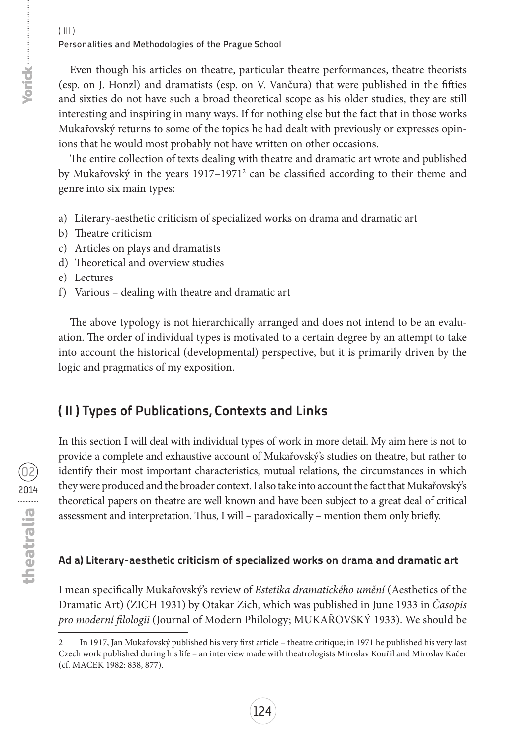Even though his articles on theatre, particular theatre performances, theatre theorists (esp. on J. Honzl) and dramatists (esp. on V. Vančura) that were published in the fifties and sixties do not have such a broad theoretical scope as his older studies, they are still interesting and inspiring in many ways. If for nothing else but the fact that in those works Mukařovský returns to some of the topics he had dealt with previously or expresses opinions that he would most probably not have written on other occasions.

The entire collection of texts dealing with theatre and dramatic art wrote and published by Mukařovský in the years 1917–1971<sup>2</sup> can be classified according to their theme and genre into six main types:

- a) Literary-aesthetic criticism of specialized works on drama and dramatic art
- b) Theatre criticism
- c) Articles on plays and dramatists
- d) Theoretical and overview studies
- e) Lectures
- f) Various dealing with theatre and dramatic art

The above typology is not hierarchically arranged and does not intend to be an evaluation. The order of individual types is motivated to a certain degree by an attempt to take into account the historical (developmental) perspective, but it is primarily driven by the logic and pragmatics of my exposition.

# **( II ) Types of Publications, Contexts and Links**

In this section I will deal with individual types of work in more detail. My aim here is not to provide a complete and exhaustive account of Mukařovský's studies on theatre, but rather to identify their most important characteristics, mutual relations, the circumstances in which they were produced and the broader context. I also take into account the fact that Mukařovský's theoretical papers on theatre are well known and have been subject to a great deal of critical assessment and interpretation. Thus, I will – paradoxically – mention them only briefly.

# **Ad a) Literary-aesthetic criticism of specialized works on drama and dramatic art**

I mean specifically Mukařovský's review of *Estetika dramatického umění* (Aesthetics of the Dramatic Art) (ZICH 1931) by Otakar Zich, which was published in June 1933 in *Časopis pro moderní filologii* (Journal of Modern Philology; MUKAŘOVSKÝ 1933). We should be

<sup>2</sup> In 1917, Jan Mukařovský published his very first article – theatre critique; in 1971 he published his very last Czech work published during his life – an interview made with theatrologists Miroslav Kouřil and Miroslav Kačer (cf. MACEK 1982: 838, 877).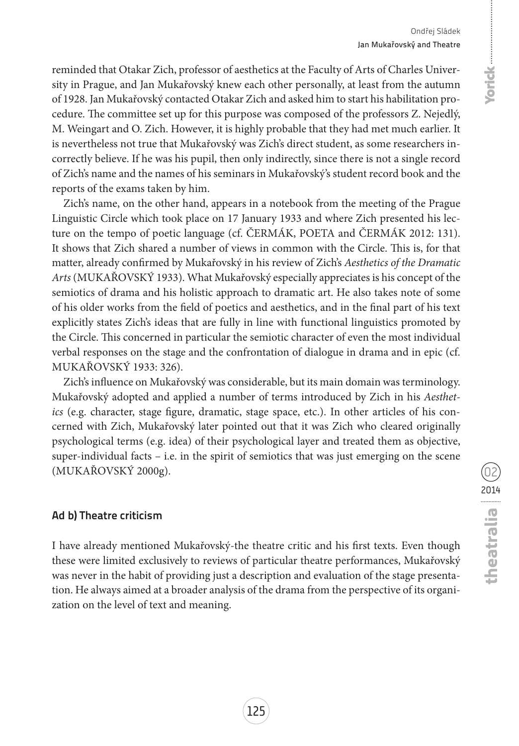onde unique

reminded that Otakar Zich, professor of aesthetics at the Faculty of Arts of Charles University in Prague, and Jan Mukařovský knew each other personally, at least from the autumn of 1928. Jan Mukařovský contacted Otakar Zich and asked him to start his habilitation procedure. The committee set up for this purpose was composed of the professors Z. Nejedlý, M. Weingart and O. Zich. However, it is highly probable that they had met much earlier. It is nevertheless not true that Mukařovský was Zich's direct student, as some researchers incorrectly believe. If he was his pupil, then only indirectly, since there is not a single record of Zich's name and the names of his seminars in Mukařovský's student record book and the reports of the exams taken by him.

Zich's name, on the other hand, appears in a notebook from the meeting of the Prague Linguistic Circle which took place on 17 January 1933 and where Zich presented his lecture on the tempo of poetic language (cf. ČERMÁK, POETA and ČERMÁK 2012: 131). It shows that Zich shared a number of views in common with the Circle. This is, for that matter, already confirmed by Mukařovský in his review of Zich's *Aesthetics of the Dramatic Arts* (MUKAŘOVSKÝ 1933). What Mukařovský especially appreciates is his concept of the semiotics of drama and his holistic approach to dramatic art. He also takes note of some of his older works from the field of poetics and aesthetics, and in the final part of his text explicitly states Zich's ideas that are fully in line with functional linguistics promoted by the Circle. This concerned in particular the semiotic character of even the most individual verbal responses on the stage and the confrontation of dialogue in drama and in epic (cf. Mukařovský 1933: 326).

Zich's influence on Mukařovský was considerable, but its main domain was terminology. Mukařovský adopted and applied a number of terms introduced by Zich in his *Aesthetics* (e.g. character, stage figure, dramatic, stage space, etc.). In other articles of his concerned with Zich, Mukařovský later pointed out that it was Zich who cleared originally psychological terms (e.g. idea) of their psychological layer and treated them as objective, super-individual facts  $-$  i.e. in the spirit of semiotics that was just emerging on the scene (Mukařovský 2000g).

### **Ad b) Theatre criticism**

I have already mentioned Mukařovský-the theatre critic and his first texts. Even though these were limited exclusively to reviews of particular theatre performances, Mukařovský was never in the habit of providing just a description and evaluation of the stage presentation. He always aimed at a broader analysis of the drama from the perspective of its organization on the level of text and meaning.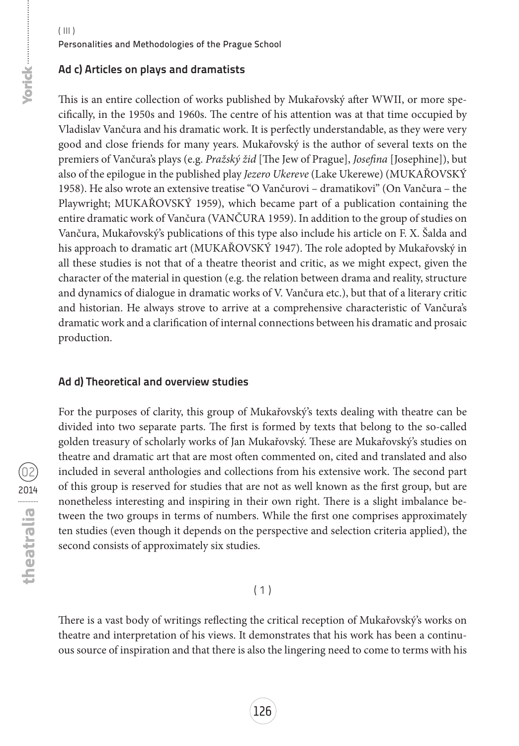### **Ad c) Articles on plays and dramatists**

This is an entire collection of works published by Mukařovský after WWII, or more specifically, in the 1950s and 1960s. The centre of his attention was at that time occupied by Vladislav Vančura and his dramatic work. It is perfectly understandable, as they were very good and close friends for many years. Mukařovský is the author of several texts on the premiers of Vančura's plays (e.g. *Pražský žid* [The Jew of Prague], *Josefina* [Josephine]), but also of the epilogue in the published play *Jezero Ukereve* (Lake Ukerewe) (MUKAŘOVSKÝ 1958). He also wrote an extensive treatise "O Vančurovi – dramatikovi" (On Vančura – the Playwright; MUKAŘOVSKÝ 1959), which became part of a publication containing the entire dramatic work of Vančura (VANČURA 1959). In addition to the group of studies on Vančura, Mukařovský's publications of this type also include his article on F. X. Šalda and his approach to dramatic art (MUKAŘOVSKÝ 1947). The role adopted by Mukařovský in all these studies is not that of a theatre theorist and critic, as we might expect, given the character of the material in question (e.g. the relation between drama and reality, structure and dynamics of dialogue in dramatic works of V. Vančura etc.), but that of a literary critic and historian. He always strove to arrive at a comprehensive characteristic of Vančura's dramatic work and a clarification of internal connections between his dramatic and prosaic production.

### **Ad d) Theoretical and overview studies**

For the purposes of clarity, this group of Mukařovský's texts dealing with theatre can be divided into two separate parts. The first is formed by texts that belong to the so-called golden treasury of scholarly works of Jan Mukařovský. These are Mukařovský's studies on theatre and dramatic art that are most often commented on, cited and translated and also included in several anthologies and collections from his extensive work. The second part of this group is reserved for studies that are not as well known as the first group, but are nonetheless interesting and inspiring in their own right. There is a slight imbalance between the two groups in terms of numbers. While the first one comprises approximately ten studies (even though it depends on the perspective and selection criteria applied), the second consists of approximately six studies.

### $(1)$

There is a vast body of writings reflecting the critical reception of Mukařovský's works on theatre and interpretation of his views. It demonstrates that his work has been a continuous source of inspiration and that there is also the lingering need to come to terms with his

**Yorick-Homes**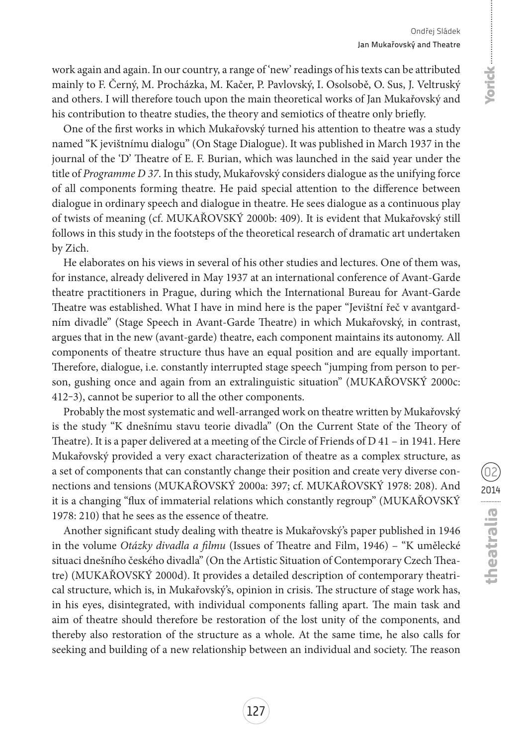### Ondřej Sládek Jan Mukařovský and Theatre

work again and again. In our country, a range of 'new' readings of his texts can be attributed mainly to F. Černý, M. Procházka, M. Kačer, P. Pavlovský, I. Osolsobě, O. Sus, J. Veltruský and others. I will therefore touch upon the main theoretical works of Jan Mukařovský and his contribution to theatre studies, the theory and semiotics of theatre only briefly.

One of the first works in which Mukařovský turned his attention to theatre was a study named "K jevištnímu dialogu" (On Stage Dialogue). It was published in March 1937 in the journal of the 'D' Theatre of E. F. Burian, which was launched in the said year under the title of *Programme D 37*. In this study, Mukařovský considers dialogue as the unifying force of all components forming theatre. He paid special attention to the difference between dialogue in ordinary speech and dialogue in theatre. He sees dialogue as a continuous play of twists of meaning (cf. MUKAŘOVSKÝ 2000b: 409). It is evident that Mukařovský still follows in this study in the footsteps of the theoretical research of dramatic art undertaken by Zich.

He elaborates on his views in several of his other studies and lectures. One of them was, for instance, already delivered in May 1937 at an international conference of Avant-Garde theatre practitioners in Prague, during which the International Bureau for Avant-Garde Theatre was established. What I have in mind here is the paper "Jevištní řeč v avantgardním divadle" (Stage Speech in Avant-Garde Theatre) in which Mukařovský, in contrast, argues that in the new (avant-garde) theatre, each component maintains its autonomy. All components of theatre structure thus have an equal position and are equally important. Therefore, dialogue, i.e. constantly interrupted stage speech "jumping from person to person, gushing once and again from an extralinguistic situation" (MUKAŘOVSKÝ 2000c: 412‒3), cannot be superior to all the other components.

Probably the most systematic and well-arranged work on theatre written by Mukařovský is the study "K dnešnímu stavu teorie divadla" (On the Current State of the Theory of Theatre). It is a paper delivered at a meeting of the Circle of Friends of D 41 – in 1941. Here Mukařovský provided a very exact characterization of theatre as a complex structure, as a set of components that can constantly change their position and create very diverse connections and tensions (MUKAŘOVSKÝ 2000a: 397; cf. MUKAŘOVSKÝ 1978: 208). And it is a changing "flux of immaterial relations which constantly regroup" (MUKAŘOVSKÝ 1978: 210) that he sees as the essence of theatre.

Another significant study dealing with theatre is Mukařovský's paper published in 1946 in the volume *Otázky divadla a filmu* (Issues of Theatre and Film, 1946) – "K umělecké situaci dnešního českého divadla" (On the Artistic Situation of Contemporary Czech Theatre) (MUKAŘOVSKÝ 2000d). It provides a detailed description of contemporary theatrical structure, which is, in Mukařovský's, opinion in crisis. The structure of stage work has, in his eyes, disintegrated, with individual components falling apart. The main task and aim of theatre should therefore be restoration of the lost unity of the components, and thereby also restoration of the structure as a whole. At the same time, he also calls for seeking and building of a new relationship between an individual and society. The reason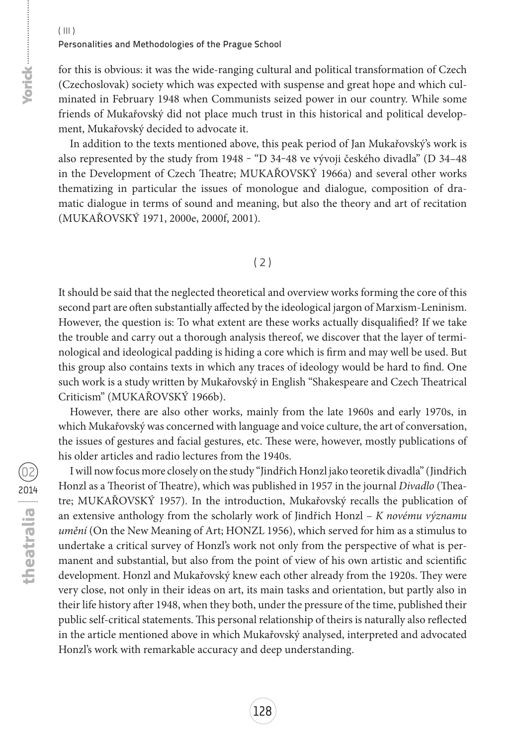for this is obvious: it was the wide-ranging cultural and political transformation of Czech (Czechoslovak) society which was expected with suspense and great hope and which culminated in February 1948 when Communists seized power in our country. While some friends of Mukařovský did not place much trust in this historical and political development, Mukařovský decided to advocate it.

In addition to the texts mentioned above, this peak period of Jan Mukařovský's work is also represented by the study from 1948 ‒ "D 34‒48 ve vývoji českého divadla" (D 34–48 in the Development of Czech Theatre; MUKAŘOVSKÝ 1966a) and several other works thematizing in particular the issues of monologue and dialogue, composition of dramatic dialogue in terms of sound and meaning, but also the theory and art of recitation (MUKAŘOVSKÝ 1971, 2000e, 2000f, 2001).

### $(2)$

It should be said that the neglected theoretical and overview works forming the core of this second part are often substantially affected by the ideological jargon of Marxism-Leninism. However, the question is: To what extent are these works actually disqualified? If we take the trouble and carry out a thorough analysis thereof, we discover that the layer of terminological and ideological padding is hiding a core which is firm and may well be used. But this group also contains texts in which any traces of ideology would be hard to find. One such work is a study written by Mukařovský in English "Shakespeare and Czech Theatrical Criticism" (MUKAŘOVSKÝ 1966b).

However, there are also other works, mainly from the late 1960s and early 1970s, in which Mukařovský was concerned with language and voice culture, the art of conversation, the issues of gestures and facial gestures, etc. These were, however, mostly publications of his older articles and radio lectures from the 1940s.

02 2014<br> **Cheatralia** 

Iwill now focus more closely on the study "Jindřich Honzl jako teoretik divadla" (Jindřich Honzl as a Theorist of Theatre), which was published in 1957 in the journal *Divadlo* (Theatre; MUKAŘOVSKÝ 1957). In the introduction, Mukařovský recalls the publication of an extensive anthology from the scholarly work of Jindřich Honzl – *K novému významu umění* (On the New Meaning of Art; HONZL 1956), which served for him as a stimulus to undertake a critical survey of Honzl's work not only from the perspective of what is permanent and substantial, but also from the point of view of his own artistic and scientific development. Honzl and Mukařovský knew each other already from the 1920s. They were very close, not only in their ideas on art, its main tasks and orientation, but partly also in their life history after 1948, when they both, under the pressure of the time, published their public self-critical statements. This personal relationship of theirs is naturally also reflected in the article mentioned above in which Mukařovský analysed, interpreted and advocated Honzl's work with remarkable accuracy and deep understanding.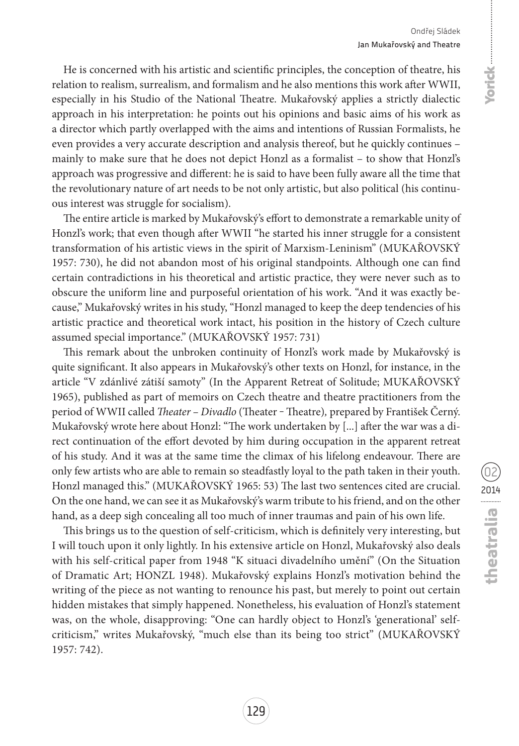He is concerned with his artistic and scientific principles, the conception of theatre, his relation to realism, surrealism, and formalism and he also mentions this work after WWII, especially in his Studio of the National Theatre. Mukařovský applies a strictly dialectic approach in his interpretation: he points out his opinions and basic aims of his work as a director which partly overlapped with the aims and intentions of Russian Formalists, he even provides a very accurate description and analysis thereof, but he quickly continues – mainly to make sure that he does not depict Honzl as a formalist – to show that Honzl's approach was progressive and different: he is said to have been fully aware all the time that the revolutionary nature of art needs to be not only artistic, but also political (his continuous interest was struggle for socialism).

The entire article is marked by Mukařovský's effort to demonstrate a remarkable unity of Honzl's work; that even though after WWII "he started his inner struggle for a consistent transformation of his artistic views in the spirit of Marxism-Leninism" (MUKAŘOVSKÝ 1957: 730), he did not abandon most of his original standpoints. Although one can find certain contradictions in his theoretical and artistic practice, they were never such as to obscure the uniform line and purposeful orientation of his work. "And it was exactly because," Mukařovský writes in his study, "Honzl managed to keep the deep tendencies of his artistic practice and theoretical work intact, his position in the history of Czech culture assumed special importance." (MUKAŘOVSKÝ 1957: 731)

This remark about the unbroken continuity of Honzl's work made by Mukařovský is quite significant. It also appears in Mukařovský's other texts on Honzl, for instance, in the article "V zdánlivé zátiší samoty" (In the Apparent Retreat of Solitude; MUKAŘOVSKÝ 1965), published as part of memoirs on Czech theatre and theatre practitioners from the period of WWII called *Theater – Divadlo* (Theater ‒ Theatre)*,* prepared by František Černý. Mukařovský wrote here about Honzl: "The work undertaken by [...] after the war was a direct continuation of the effort devoted by him during occupation in the apparent retreat of his study. And it was at the same time the climax of his lifelong endeavour. There are only few artists who are able to remain so steadfastly loyal to the path taken in their youth. Honzl managed this." (MUKAŘOVSKÝ 1965: 53) The last two sentences cited are crucial. On the one hand, we can see it as Mukařovský's warm tribute to his friend, and on the other hand, as a deep sigh concealing all too much of inner traumas and pain of his own life.

This brings us to the question of self-criticism, which is definitely very interesting, but I will touch upon it only lightly. In his extensive article on Honzl, Mukařovský also deals with his self-critical paper from 1948 "K situaci divadelního umění" (On the Situation of Dramatic Art; HONZL 1948). Mukařovský explains Honzl's motivation behind the writing of the piece as not wanting to renounce his past, but merely to point out certain hidden mistakes that simply happened. Nonetheless, his evaluation of Honzl's statement was, on the whole, disapproving: "One can hardly object to Honzl's 'generational' selfcriticism," writes Mukařovský, "much else than its being too strict" (MUKAŘOVSKÝ 1957: 742).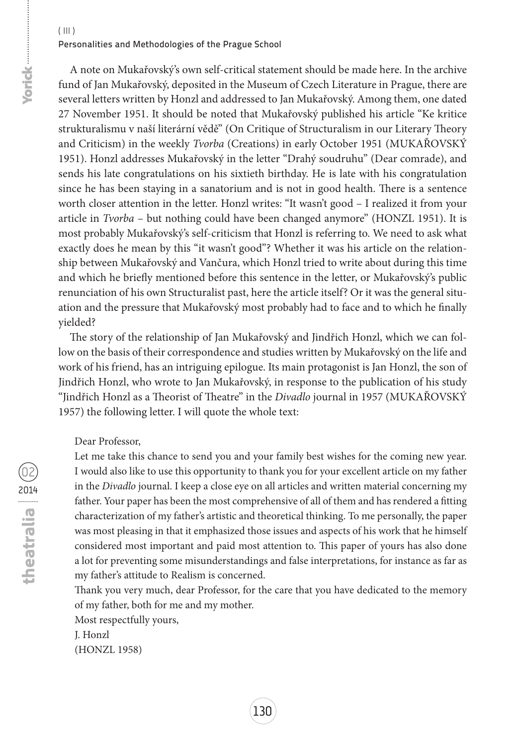A note on Mukařovský's own self-critical statement should be made here. In the archive fund of Jan Mukařovský, deposited in the Museum of Czech Literature in Prague, there are several letters written by Honzl and addressed to Jan Mukařovský. Among them, one dated 27 November 1951. It should be noted that Mukařovský published his article "Ke kritice strukturalismu v naší literární vědě" (On Critique of Structuralism in our Literary Theory and Criticism) in the weekly *Tvorba* (Creations) in early October 1951 (MUKAŘOVSKÝ 1951). Honzl addresses Mukařovský in the letter "Drahý soudruhu" (Dear comrade), and sends his late congratulations on his sixtieth birthday. He is late with his congratulation since he has been staying in a sanatorium and is not in good health. There is a sentence worth closer attention in the letter. Honzl writes: "It wasn't good – I realized it from your article in *Tvorba* – but nothing could have been changed anymore" (HONZL 1951). It is most probably Mukařovský's self-criticism that Honzl is referring to. We need to ask what exactly does he mean by this "it wasn't good"? Whether it was his article on the relationship between Mukařovský and Vančura, which Honzl tried to write about during this time and which he briefly mentioned before this sentence in the letter, or Mukařovský's public renunciation of his own Structuralist past, here the article itself? Or it was the general situation and the pressure that Mukařovský most probably had to face and to which he finally yielded?

The story of the relationship of Jan Mukařovský and Jindřich Honzl, which we can follow on the basis of their correspondence and studies written by Mukařovský on the life and work of his friend, has an intriguing epilogue. Its main protagonist is Jan Honzl, the son of Jindřich Honzl, who wrote to Jan Mukařovský, in response to the publication of his study "Jindřich Honzl as a Theorist of Theatre" in the *Divadlo* journal in 1957 (MUKAŘOVSKÝ 1957) the following letter. I will quote the whole text:

Dear Professor,

Let me take this chance to send you and your family best wishes for the coming new year. I would also like to use this opportunity to thank you for your excellent article on my father in the *Divadlo* journal. I keep a close eye on all articles and written material concerning my father. Your paper has been the most comprehensive of all of them and has rendered a fitting characterization of my father's artistic and theoretical thinking. To me personally, the paper was most pleasing in that it emphasized those issues and aspects of his work that he himself considered most important and paid most attention to. This paper of yours has also done a lot for preventing some misunderstandings and false interpretations, for instance as far as my father's attitude to Realism is concerned.

Thank you very much, dear Professor, for the care that you have dedicated to the memory of my father, both for me and my mother.

Most respectfully yours,

J. Honzl

(HONZL 1958)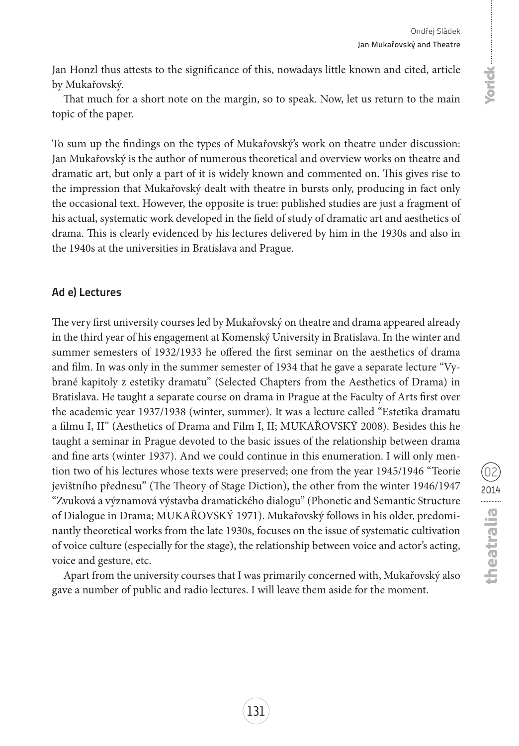Jan Honzl thus attests to the significance of this, nowadays little known and cited, article by Mukařovský.

That much for a short note on the margin, so to speak. Now, let us return to the main topic of the paper.

To sum up the findings on the types of Mukařovský's work on theatre under discussion: Jan Mukařovský is the author of numerous theoretical and overview works on theatre and dramatic art, but only a part of it is widely known and commented on. This gives rise to the impression that Mukařovský dealt with theatre in bursts only, producing in fact only the occasional text. However, the opposite is true: published studies are just a fragment of his actual, systematic work developed in the field of study of dramatic art and aesthetics of drama. This is clearly evidenced by his lectures delivered by him in the 1930s and also in the 1940s at the universities in Bratislava and Prague.

### **Ad e) Lectures**

The very first university courses led by Mukařovský on theatre and drama appeared already in the third year of his engagement at Komenský University in Bratislava. In the winter and summer semesters of 1932/1933 he offered the first seminar on the aesthetics of drama and film. In was only in the summer semester of 1934 that he gave a separate lecture "Vybrané kapitoly z estetiky dramatu" (Selected Chapters from the Aesthetics of Drama) in Bratislava. He taught a separate course on drama in Prague at the Faculty of Arts first over the academic year 1937/1938 (winter, summer). It was a lecture called "Estetika dramatu a filmu I, II" (Aesthetics of Drama and Film I, II; MUKAŘOVSKÝ 2008). Besides this he taught a seminar in Prague devoted to the basic issues of the relationship between drama and fine arts (winter 1937). And we could continue in this enumeration. I will only mention two of his lectures whose texts were preserved; one from the year 1945/1946 "Teorie jevištního přednesu" (The Theory of Stage Diction), the other from the winter 1946/1947 "Zvuková a významová výstavba dramatického dialogu" (Phonetic and Semantic Structure of Dialogue in Drama; MUKAŘOVSKÝ 1971). Mukařovský follows in his older, predominantly theoretical works from the late 1930s, focuses on the issue of systematic cultivation of voice culture (especially for the stage), the relationship between voice and actor's acting, voice and gesture, etc.

Apart from the university courses that I was primarily concerned with, Mukařovský also gave a number of public and radio lectures. I will leave them aside for the moment.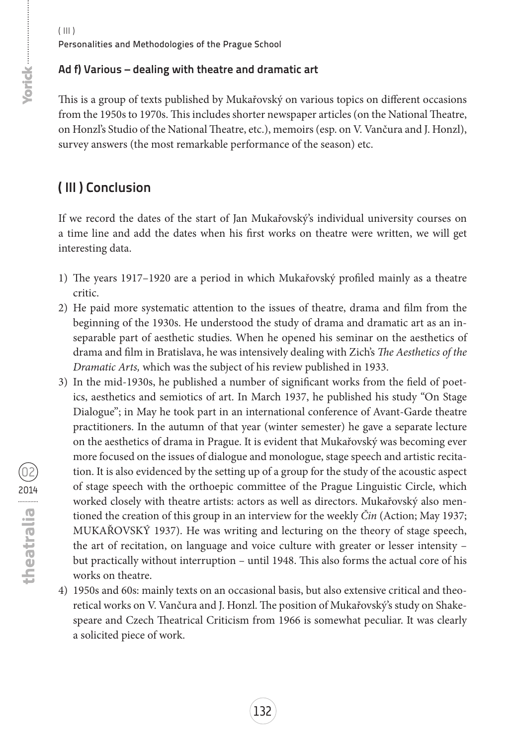# **Ad f) Various – dealing with theatre and dramatic art**

This is a group of texts published by Mukařovský on various topics on different occasions from the 1950s to 1970s. This includes shorter newspaper articles (on the National Theatre, on Honzl's Studio of the National Theatre, etc.), memoirs (esp. on V. Vančura and J. Honzl), survey answers (the most remarkable performance of the season) etc.

# **( III ) Conclusion**

If we record the dates of the start of Jan Mukařovský's individual university courses on a time line and add the dates when his first works on theatre were written, we will get interesting data.

- 1) The years 1917–1920 are a period in which Mukařovský profiled mainly as a theatre critic.
- 2) He paid more systematic attention to the issues of theatre, drama and film from the beginning of the 1930s. He understood the study of drama and dramatic art as an inseparable part of aesthetic studies. When he opened his seminar on the aesthetics of drama and film in Bratislava, he was intensively dealing with Zich's *The Aesthetics of the Dramatic Arts,* which was the subject of his review published in 1933.
- 3) In the mid-1930s, he published a number of significant works from the field of poetics, aesthetics and semiotics of art. In March 1937, he published his study "On Stage Dialogue"; in May he took part in an international conference of Avant-Garde theatre practitioners. In the autumn of that year (winter semester) he gave a separate lecture on the aesthetics of drama in Prague. It is evident that Mukařovský was becoming ever more focused on the issues of dialogue and monologue, stage speech and artistic recitation. It is also evidenced by the setting up of a group for the study of the acoustic aspect of stage speech with the orthoepic committee of the Prague Linguistic Circle, which worked closely with theatre artists: actors as well as directors. Mukařovský also mentioned the creation of this group in an interview for the weekly *Čin* (Action; May 1937; MUKAŘOVSKÝ 1937). He was writing and lecturing on the theory of stage speech, the art of recitation, on language and voice culture with greater or lesser intensity – but practically without interruption – until 1948. This also forms the actual core of his works on theatre.
- 4) 1950s and 60s: mainly texts on an occasional basis, but also extensive critical and theoretical works on V. Vančura and J. Honzl. The position of Mukařovský's study on Shakespeare and Czech Theatrical Criticism from 1966 is somewhat peculiar. It was clearly a solicited piece of work.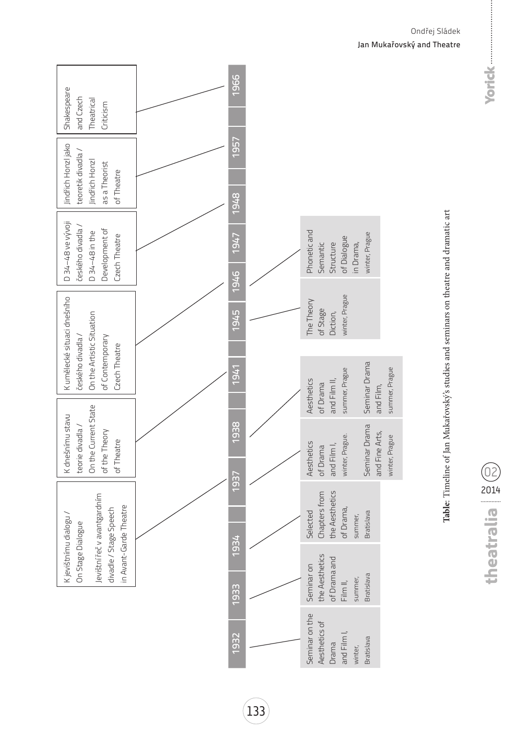| Shakespeare<br>and Czech<br>Theatrical<br>Criticism                                              | 1966         |                                                                     |                                                   |
|--------------------------------------------------------------------------------------------------|--------------|---------------------------------------------------------------------|---------------------------------------------------|
| Jindřich Honzljako<br>teoretik divadla/<br>Jindřich Honzl<br>as a Theorist<br>of Theatre         | 1957<br>1948 |                                                                     |                                                   |
| D 34-48 ve vývoji<br>českého divadla /<br>Development of<br>D 34-48 in the<br>Czech Theatre      | 1947<br>1946 | Phonetic and<br>of Dialogue<br>in Drama,<br>Semantic<br>Structure   | winter, Prague                                    |
| K umělecké situaci dnešního<br>On the Artistic Situation<br>českého divadla /<br>of Contemporary | 1945         | winter, Prague<br>The Theory<br>of Stage<br>Diction,                |                                                   |
| Czech Theatre                                                                                    | 1941         | summer, Prague<br>Aesthetics<br>and Film II,<br>of Drama            | Seminar Drama<br>summer, Prague<br>and Film,      |
| On the Current State<br>K dnešnímu stavu<br>teorie divadla /<br>of the Theory<br>of Theatre      | 1938         | winter, Prague.<br>Aesthetics<br>and Film I,<br>of Drama            | Seminar Drama<br>and Fine Arts,<br>winter, Prague |
| Jevištní řeč v avantgardním<br>in Avant-Garde Theatre<br>divadle / Stage Speech                  | 1937<br>1934 | the Aesthetics<br>Chapters from<br>of Drama,<br>Selected<br>summer, | Bratislava                                        |
| K jevištnímu dialogu /<br>On Stage Dialogue                                                      | 1933         | the Aesthetics<br>of Drama and<br>Seminar on<br>Film II,            | <b>Bratislava</b><br>summer,                      |
|                                                                                                  | 1932         | Seminar on the<br>Aesthetics of<br>and Film I<br>Drama<br>winter,   | <b>Bratislava</b>                                 |

# Table: Timeline of Jan Mukařovský's studies and seminars on theatre and dramatic art **Table**: Timeline of Jan Mukařovský's studies and seminars on theatre and dramatic art

02 2014

Ondřej Sládek Jan Mukařovský and Theatre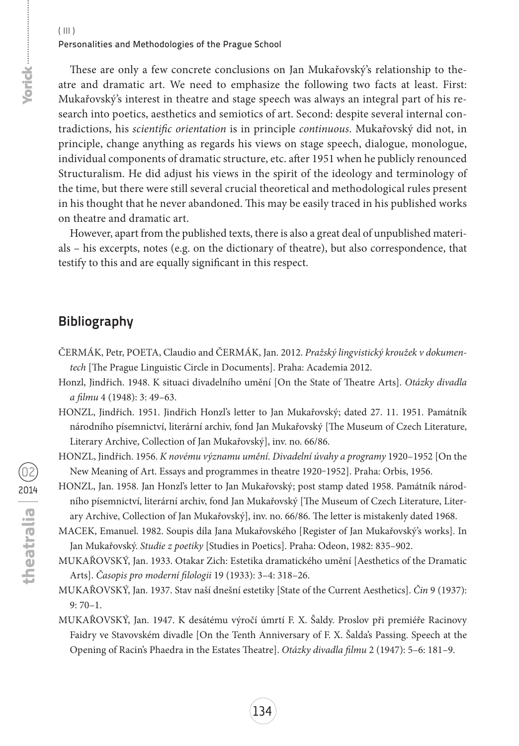These are only a few concrete conclusions on Jan Mukařovský's relationship to theatre and dramatic art. We need to emphasize the following two facts at least. First: Mukařovský's interest in theatre and stage speech was always an integral part of his research into poetics, aesthetics and semiotics of art. Second: despite several internal contradictions, his *scientific orientation* is in principle *continuous*. Mukařovský did not, in principle, change anything as regards his views on stage speech, dialogue, monologue, individual components of dramatic structure, etc. after 1951 when he publicly renounced Structuralism. He did adjust his views in the spirit of the ideology and terminology of the time, but there were still several crucial theoretical and methodological rules present in his thought that he never abandoned. This may be easily traced in his published works on theatre and dramatic art.

However, apart from the published texts, there is also a great deal of unpublished materials – his excerpts, notes (e.g. on the dictionary of theatre), but also correspondence, that testify to this and are equally significant in this respect.

# **Bibliography**

- Čermák, Petr, Poeta, Claudio and Čermák, Jan. 2012. *Pražský lingvistický kroužek v dokumentech* [The Prague Linguistic Circle in Documents]. Praha: Academia 2012.
- Honzl, Jindřich. 1948. K situaci divadelního umění [On the State of Theatre Arts]. *Otázky divadla a filmu* 4 (1948): 3: 49–63.
- HONZL, Jindřich. 1951. Jindřich Honzl's letter to Jan Mukařovský; dated 27. 11. 1951. Památník národního písemnictví, literární archiv, fond Jan Mukařovský [The Museum of Czech Literature, Literary Archive, Collection of Jan Mukařovský], inv. no. 66/86.
- Honzl, Jindřich. 1956. *K novému významu umění. Divadelní úvahy a programy* 1920–1952 [On the New Meaning of Art. Essays and programmes in theatre 1920-1952]. Praha: Orbis, 1956.
- HONZL, Jan. 1958. Jan Honzl's letter to Jan Mukařovský; post stamp dated 1958. Památník národního písemnictví, literární archiv, fond Jan Mukařovský [The Museum of Czech Literature, Literary Archive, Collection of Jan Mukařovský], inv. no. 66/86. The letter is mistakenly dated 1968.
- macek, emanuel. 1982. Soupis díla Jana Mukařovského [Register of Jan Mukařovský's works]. In Jan Mukařovský. *Studie z poetiky* [Studies in Poetics]. Praha: Odeon, 1982: 835–902.
- Mukařovský, Jan. 1933. Otakar Zich: Estetika dramatického umění [Aesthetics of the Dramatic Arts]. *Časopis pro moderní filologii* 19 (1933): 3–4: 318–26.
- Mukařovský, Jan. 1937. Stav naší dnešní estetiky [State of the Current Aesthetics]. *Čin* 9 (1937): 9: 70–1.
- Mukařovský, Jan. 1947. K desátému výročí úmrtí F. X. Šaldy. Proslov při premiéře Racinovy Faidry ve Stavovském divadle [On the Tenth Anniversary of F. X. Šalda's Passing. Speech at the Opening of Racin's Phaedra in the Estates Theatre]. *Otázky divadla filmu* 2 (1947): 5–6: 181–9.

forick-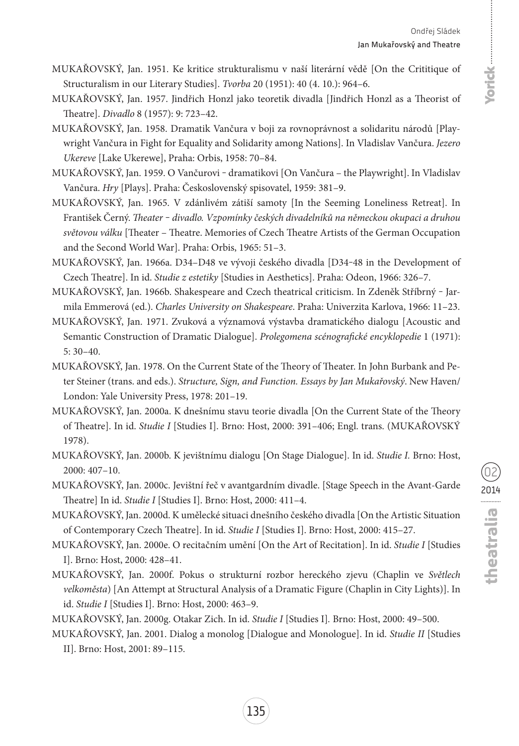- Mukařovský, Jan. 1951. Ke kritice strukturalismu v naší literární vědě [On the Crititique of Structuralism in our Literary Studies]. *Tvorba* 20 (1951): 40 (4. 10.): 964–6.
- Mukařovský, Jan. 1957. Jindřich Honzl jako teoretik divadla [Jindřich Honzl as a Theorist of Theatre]. *Divadlo* 8 (1957): 9: 723–42.
- Mukařovský, Jan. 1958. Dramatik Vančura v boji za rovnoprávnost a solidaritu národů [Playwright Vančura in Fight for Equality and Solidarity among Nations]. In Vladislav Vančura. *Jezero Ukereve* [Lake Ukerewe], Praha: Orbis, 1958: 70–84.
- Mukařovský, Jan. 1959. O Vančurovi ‒ dramatikovi [On Vančura the Playwright]. In Vladislav Vančura. *Hry* [Plays]. Praha: Československý spisovatel, 1959: 381–9.
- Mukařovský, Jan. 1965. V zdánlivém zátiší samoty [In the Seeming Loneliness Retreat]. In František Černý. *Theater ‒ divadlo. Vzpomínky českých divadelníků na německou okupaci a druhou světovou válku* [Theater – Theatre. Memories of Czech Theatre Artists of the German Occupation and the Second World War]. Praha: Orbis, 1965: 51–3.
- Mukařovský, Jan. 1966a. D34–D48 ve vývoji českého divadla [D34‒48 in the Development of Czech Theatre]. In id. *Studie z estetiky* [Studies in Aesthetics]. Praha: Odeon, 1966: 326–7.
- MUKAŘOVSKÝ, Jan. 1966b. Shakespeare and Czech theatrical criticism. In Zdeněk Stříbrný Jarmila Emmerová (ed.). *Charles University on Shakespeare*. Praha: Univerzita Karlova, 1966: 11–23.
- Mukařovský, Jan. 1971. Zvuková a významová výstavba dramatického dialogu [Acoustic and Semantic Construction of Dramatic Dialogue]. *Prolegomena scénografické encyklopedie* 1 (1971): 5: 30–40.
- MUKAŘOVSKÝ, Jan. 1978. On the Current State of the Theory of Theater. In John Burbank and Peter Steiner (trans. and eds.). *Structure, Sign, and Function. Essays by Jan Mukařovský*. New Haven/ London: Yale University Press, 1978: 201–19.
- Mukařovský, Jan. 2000a. K dnešnímu stavu teorie divadla [On the Current State of the Theory of Theatre]. In id. *Studie I* [Studies I]. Brno: Host, 2000: 391–406; Engl. trans. (MUKAŘOVSKÝ 1978).
- Mukařovský, Jan. 2000b. K jevištnímu dialogu [On Stage Dialogue]. In id. *Studie I.* Brno: Host, 2000: 407–10.
- Mukařovský, Jan. 2000c. Jevištní řeč v avantgardním divadle. [Stage Speech in the Avant-Garde Theatre] In id. *Studie I* [Studies I]. Brno: Host, 2000: 411–4.
- Mukařovský, Jan. 2000d. K umělecké situaci dnešního českého divadla [On the Artistic Situation of Contemporary Czech Theatre]. In id. *Studie I* [Studies I]. Brno: Host, 2000: 415–27.
- Mukařovský, Jan. 2000e. O recitačním umění [On the Art of Recitation]. In id. *Studie I* [Studies I]. Brno: Host, 2000: 428–41.
- Mukařovský, Jan. 2000f. Pokus o strukturní rozbor hereckého zjevu (Chaplin ve *Světlech velkoměsta*) [An Attempt at Structural Analysis of a Dramatic Figure (Chaplin in City Lights)]. In id. *Studie I* [Studies I]. Brno: Host, 2000: 463–9.

Mukařovský, Jan. 2000g. Otakar Zich. In id. *Studie I* [Studies I]*.* Brno: Host, 2000: 49–500.

Mukařovský, Jan. 2001. Dialog a monolog [Dialogue and Monologue]. In id. *Studie II* [Studies II]. Brno: Host, 2001: 89–115.

02